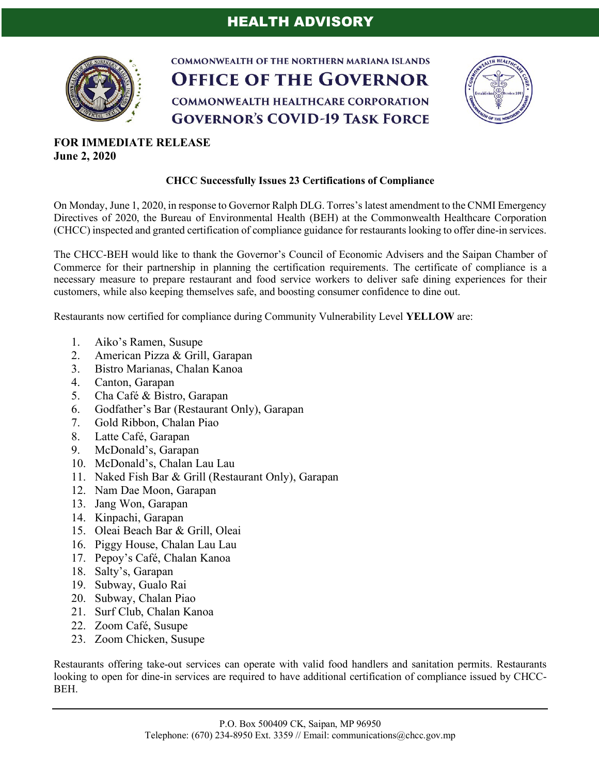# HEALTH ADVISORY



**COMMONWEALTH OF THE NORTHERN MARIANA ISLANDS OFFICE OF THE GOVERNOR COMMONWEALTH HEALTHCARE CORPORATION GOVERNOR'S COVID-19 TASK FORCE** 



# **FOR IMMEDIATE RELEASE June 2, 2020**

### **CHCC Successfully Issues 23 Certifications of Compliance**

On Monday, June 1, 2020, in response to Governor Ralph DLG. Torres's latest amendment to the CNMI Emergency Directives of 2020, the Bureau of Environmental Health (BEH) at the Commonwealth Healthcare Corporation (CHCC) inspected and granted certification of compliance guidance for restaurants looking to offer dine-in services.

The CHCC-BEH would like to thank the Governor's Council of Economic Advisers and the Saipan Chamber of Commerce for their partnership in planning the certification requirements. The certificate of compliance is a necessary measure to prepare restaurant and food service workers to deliver safe dining experiences for their customers, while also keeping themselves safe, and boosting consumer confidence to dine out.

Restaurants now certified for compliance during Community Vulnerability Level **YELLOW** are:

- 1. Aiko's Ramen, Susupe
- 2. American Pizza & Grill, Garapan
- 3. Bistro Marianas, Chalan Kanoa
- 4. Canton, Garapan
- 5. Cha Café & Bistro, Garapan
- 6. Godfather's Bar (Restaurant Only), Garapan
- 7. Gold Ribbon, Chalan Piao
- 8. Latte Café, Garapan
- 9. McDonald's, Garapan
- 10. McDonald's, Chalan Lau Lau
- 11. Naked Fish Bar & Grill (Restaurant Only), Garapan
- 12. Nam Dae Moon, Garapan
- 13. Jang Won, Garapan
- 14. Kinpachi, Garapan
- 15. Oleai Beach Bar & Grill, Oleai
- 16. Piggy House, Chalan Lau Lau
- 17. Pepoy's Café, Chalan Kanoa
- 18. Salty's, Garapan
- 19. Subway, Gualo Rai
- 20. Subway, Chalan Piao
- 21. Surf Club, Chalan Kanoa
- 22. Zoom Café, Susupe
- 23. Zoom Chicken, Susupe

Restaurants offering take-out services can operate with valid food handlers and sanitation permits. Restaurants looking to open for dine-in services are required to have additional certification of compliance issued by CHCC-BEH.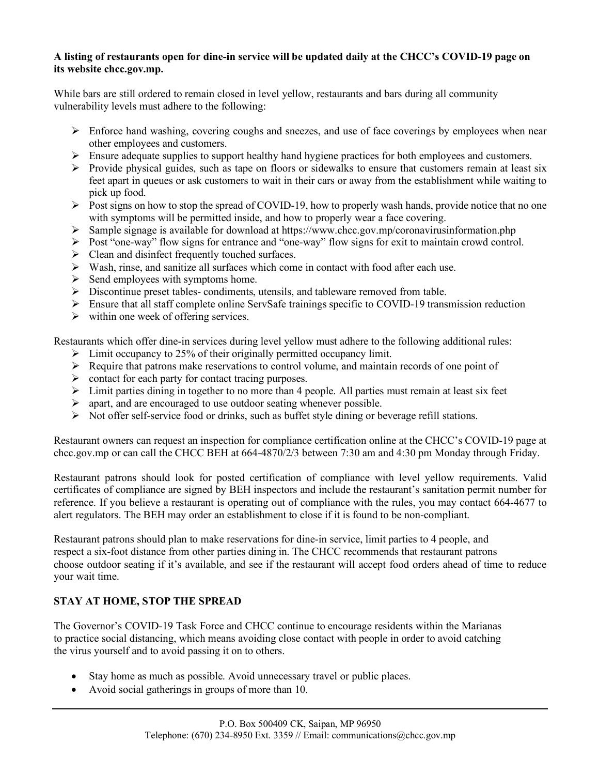#### **A listing of restaurants open for dine-in service will be updated daily at the CHCC's COVID-19 page on its website chcc.gov.mp.**

While bars are still ordered to remain closed in level yellow, restaurants and bars during all community vulnerability levels must adhere to the following:

- $\triangleright$  Enforce hand washing, covering coughs and sneezes, and use of face coverings by employees when near other employees and customers.
- Ø Ensure adequate supplies to support healthy hand hygiene practices for both employees and customers.
- $\triangleright$  Provide physical guides, such as tape on floors or sidewalks to ensure that customers remain at least six feet apart in queues or ask customers to wait in their cars or away from the establishment while waiting to pick up food.
- $\triangleright$  Post signs on how to stop the spread of COVID-19, how to properly wash hands, provide notice that no one with symptoms will be permitted inside, and how to properly wear a face covering.
- $\triangleright$  Sample signage is available for download at https://www.chcc.gov.mp/coronavirusinformation.php
- Ø Post "one-way" flow signs for entrance and "one-way" flow signs for exit to maintain crowd control.
- $\triangleright$  Clean and disinfect frequently touched surfaces.
- $\triangleright$  Wash, rinse, and sanitize all surfaces which come in contact with food after each use.
- $\triangleright$  Send employees with symptoms home.
- $\triangleright$  Discontinue preset tables- condiments, utensils, and tableware removed from table.
- Ø Ensure that all staff complete online ServSafe trainings specific to COVID-19 transmission reduction
- $\triangleright$  within one week of offering services.

Restaurants which offer dine-in services during level yellow must adhere to the following additional rules:

- $\triangleright$  Limit occupancy to 25% of their originally permitted occupancy limit.
- $\triangleright$  Require that patrons make reservations to control volume, and maintain records of one point of
- $\triangleright$  contact for each party for contact tracing purposes.
- $\triangleright$  Limit parties dining in together to no more than 4 people. All parties must remain at least six feet
- $\triangleright$  apart, and are encouraged to use outdoor seating whenever possible.
- $\triangleright$  Not offer self-service food or drinks, such as buffet style dining or beverage refill stations.

Restaurant owners can request an inspection for compliance certification online at the CHCC's COVID-19 page at chcc.gov.mp or can call the CHCC BEH at 664-4870/2/3 between 7:30 am and 4:30 pm Monday through Friday.

Restaurant patrons should look for posted certification of compliance with level yellow requirements. Valid certificates of compliance are signed by BEH inspectors and include the restaurant's sanitation permit number for reference. If you believe a restaurant is operating out of compliance with the rules, you may contact 664-4677 to alert regulators. The BEH may order an establishment to close if it is found to be non-compliant.

Restaurant patrons should plan to make reservations for dine-in service, limit parties to 4 people, and respect a six-foot distance from other parties dining in. The CHCC recommends that restaurant patrons choose outdoor seating if it's available, and see if the restaurant will accept food orders ahead of time to reduce your wait time.

## **STAY AT HOME, STOP THE SPREAD**

The Governor's COVID-19 Task Force and CHCC continue to encourage residents within the Marianas to practice social distancing, which means avoiding close contact with people in order to avoid catching the virus yourself and to avoid passing it on to others.

- Stay home as much as possible. Avoid unnecessary travel or public places.
- Avoid social gatherings in groups of more than 10.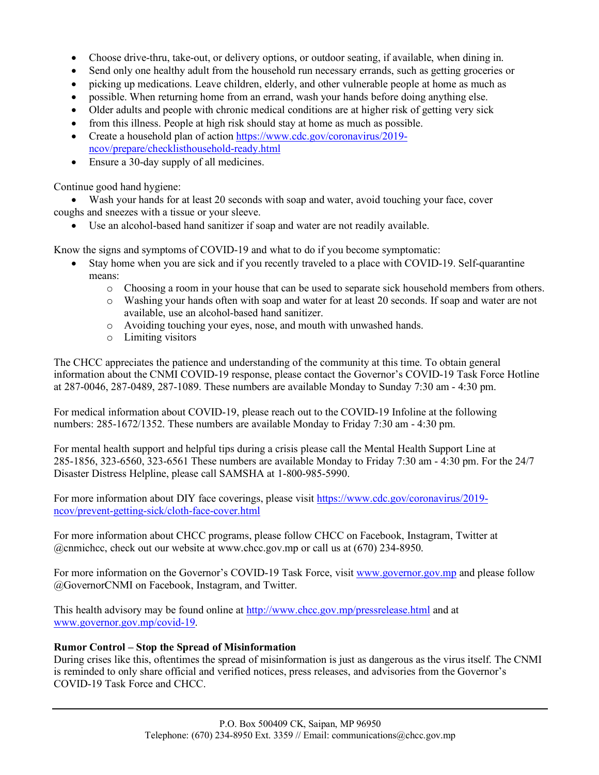- Choose drive-thru, take-out, or delivery options, or outdoor seating, if available, when dining in.
- Send only one healthy adult from the household run necessary errands, such as getting groceries or
- picking up medications. Leave children, elderly, and other vulnerable people at home as much as
- possible. When returning home from an errand, wash your hands before doing anything else.
- Older adults and people with chronic medical conditions are at higher risk of getting very sick
- from this illness. People at high risk should stay at home as much as possible.
- Create a household plan of action https://www.cdc.gov/coronavirus/2019ncov/prepare/checklisthousehold-ready.html
- Ensure a 30-day supply of all medicines.

Continue good hand hygiene:

• Wash your hands for at least 20 seconds with soap and water, avoid touching your face, cover coughs and sneezes with a tissue or your sleeve.

• Use an alcohol-based hand sanitizer if soap and water are not readily available.

Know the signs and symptoms of COVID-19 and what to do if you become symptomatic:

- Stay home when you are sick and if you recently traveled to a place with COVID-19. Self-quarantine means:
	- o Choosing a room in your house that can be used to separate sick household members from others.
	- o Washing your hands often with soap and water for at least 20 seconds. If soap and water are not available, use an alcohol-based hand sanitizer.
	- o Avoiding touching your eyes, nose, and mouth with unwashed hands.
	- o Limiting visitors

The CHCC appreciates the patience and understanding of the community at this time. To obtain general information about the CNMI COVID-19 response, please contact the Governor's COVID-19 Task Force Hotline at 287-0046, 287-0489, 287-1089. These numbers are available Monday to Sunday 7:30 am - 4:30 pm.

For medical information about COVID-19, please reach out to the COVID-19 Infoline at the following numbers: 285-1672/1352. These numbers are available Monday to Friday 7:30 am - 4:30 pm.

For mental health support and helpful tips during a crisis please call the Mental Health Support Line at 285-1856, 323-6560, 323-6561 These numbers are available Monday to Friday 7:30 am - 4:30 pm. For the 24/7 Disaster Distress Helpline, please call SAMSHA at 1-800-985-5990.

For more information about DIY face coverings, please visit https://www.cdc.gov/coronavirus/2019 ncov/prevent-getting-sick/cloth-face-cover.html

For more information about CHCC programs, please follow CHCC on Facebook, Instagram, Twitter at @cnmichcc, check out our website at www.chcc.gov.mp or call us at (670) 234-8950.

For more information on the Governor's COVID-19 Task Force, visit www.governor.gov.mp and please follow @GovernorCNMI on Facebook, Instagram, and Twitter.

This health advisory may be found online at http://www.chcc.gov.mp/pressrelease.html and at www.governor.gov.mp/covid-19.

#### **Rumor Control – Stop the Spread of Misinformation**

During crises like this, oftentimes the spread of misinformation is just as dangerous as the virus itself. The CNMI is reminded to only share official and verified notices, press releases, and advisories from the Governor's COVID-19 Task Force and CHCC.